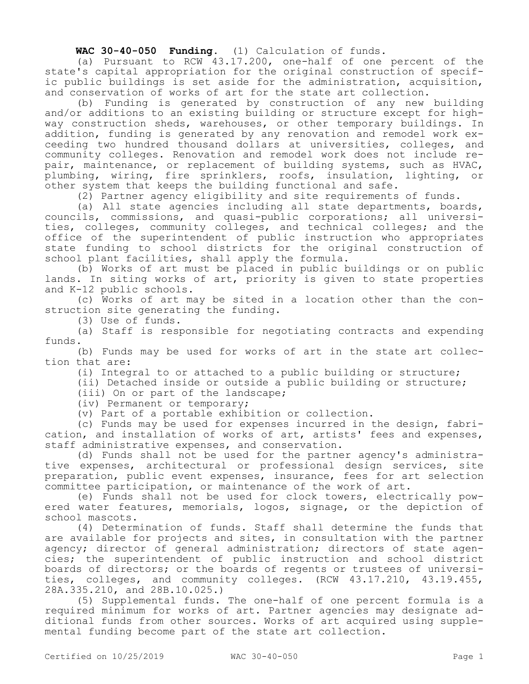**WAC 30-40-050 Funding.** (1) Calculation of funds.

(a) Pursuant to RCW 43.17.200, one-half of one percent of the state's capital appropriation for the original construction of specific public buildings is set aside for the administration, acquisition, and conservation of works of art for the state art collection.

(b) Funding is generated by construction of any new building and/or additions to an existing building or structure except for highway construction sheds, warehouses, or other temporary buildings. In addition, funding is generated by any renovation and remodel work exceeding two hundred thousand dollars at universities, colleges, and community colleges. Renovation and remodel work does not include repair, maintenance, or replacement of building systems, such as HVAC, plumbing, wiring, fire sprinklers, roofs, insulation, lighting, or other system that keeps the building functional and safe.

(2) Partner agency eligibility and site requirements of funds.

(a) All state agencies including all state departments, boards, councils, commissions, and quasi-public corporations; all universities, colleges, community colleges, and technical colleges; and the office of the superintendent of public instruction who appropriates state funding to school districts for the original construction of school plant facilities, shall apply the formula.

(b) Works of art must be placed in public buildings or on public lands. In siting works of art, priority is given to state properties and K-12 public schools.

(c) Works of art may be sited in a location other than the construction site generating the funding.

(3) Use of funds.

(a) Staff is responsible for negotiating contracts and expending funds.

(b) Funds may be used for works of art in the state art collection that are:

(i) Integral to or attached to a public building or structure;

(ii) Detached inside or outside a public building or structure;

(iii) On or part of the landscape;

(iv) Permanent or temporary;

(v) Part of a portable exhibition or collection.

(c) Funds may be used for expenses incurred in the design, fabrication, and installation of works of art, artists' fees and expenses, staff administrative expenses, and conservation.

(d) Funds shall not be used for the partner agency's administrative expenses, architectural or professional design services, site preparation, public event expenses, insurance, fees for art selection committee participation, or maintenance of the work of art.

(e) Funds shall not be used for clock towers, electrically powered water features, memorials, logos, signage, or the depiction of school mascots.

(4) Determination of funds. Staff shall determine the funds that are available for projects and sites, in consultation with the partner agency; director of general administration; directors of state agencies; the superintendent of public instruction and school district boards of directors; or the boards of regents or trustees of universities, colleges, and community colleges. (RCW 43.17.210, 43.19.455, 28A.335.210, and 28B.10.025.)

(5) Supplemental funds. The one-half of one percent formula is a required minimum for works of art. Partner agencies may designate additional funds from other sources. Works of art acquired using supplemental funding become part of the state art collection.